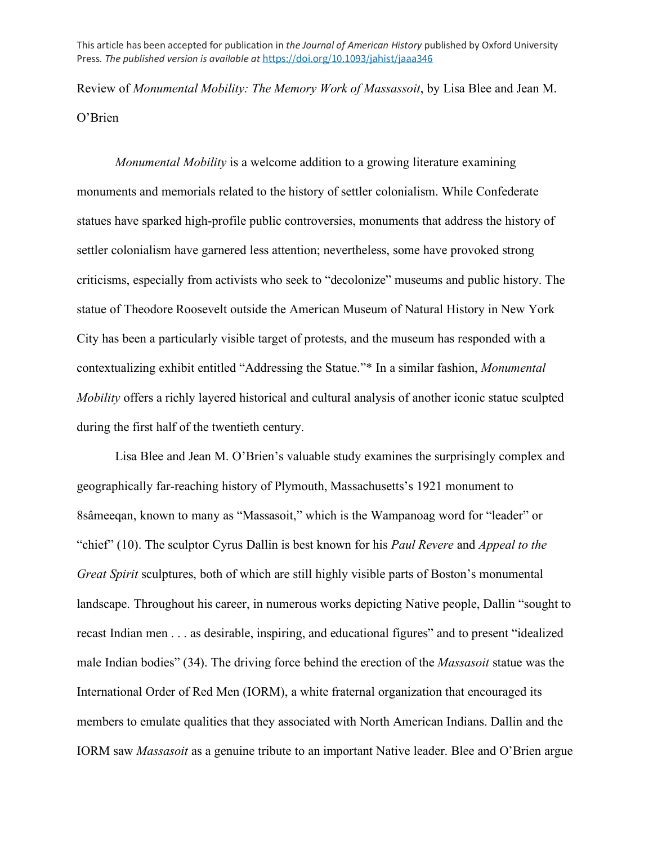This article has been accepted for publication in *the Journal of American History* published by Oxford University Press*. The published version is available at* <https://doi.org/10.1093/jahist/jaaa346>

Review of *Monumental Mobility: The Memory Work of Massassoit*, by Lisa Blee and Jean M. O'Brien

*Monumental Mobility* is a welcome addition to a growing literature examining monuments and memorials related to the history of settler colonialism. While Confederate statues have sparked high-profile public controversies, monuments that address the history of settler colonialism have garnered less attention; nevertheless, some have provoked strong criticisms, especially from activists who seek to "decolonize" museums and public history. The statue of Theodore Roosevelt outside the American Museum of Natural History in New York City has been a particularly visible target of protests, and the museum has responded with a contextualizing exhibit entitled "Addressing the Statue."\* In a similar fashion, *Monumental Mobility* offers a richly layered historical and cultural analysis of another iconic statue sculpted during the first half of the twentieth century.

Lisa Blee and Jean M. O'Brien's valuable study examines the surprisingly complex and geographically far-reaching history of Plymouth, Massachusetts's 1921 monument to 8sâmeeqan, known to many as "Massasoit," which is the Wampanoag word for "leader" or "chief" (10). The sculptor Cyrus Dallin is best known for his *Paul Revere* and *Appeal to the Great Spirit* sculptures, both of which are still highly visible parts of Boston's monumental landscape. Throughout his career, in numerous works depicting Native people, Dallin "sought to recast Indian men . . . as desirable, inspiring, and educational figures" and to present "idealized male Indian bodies" (34). The driving force behind the erection of the *Massasoit* statue was the International Order of Red Men (IORM), a white fraternal organization that encouraged its members to emulate qualities that they associated with North American Indians. Dallin and the IORM saw *Massasoit* as a genuine tribute to an important Native leader. Blee and O'Brien argue